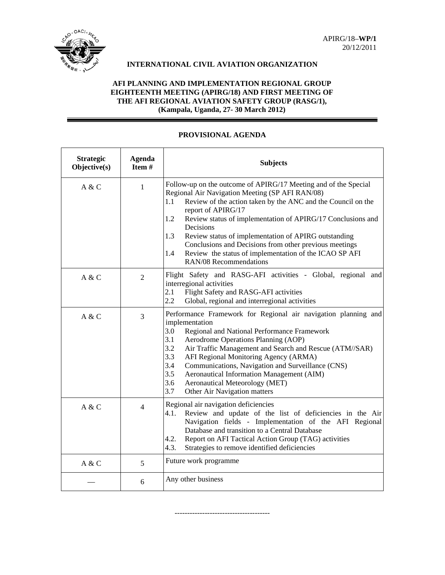

# **INTERNATIONAL CIVIL AVIATION ORGANIZATION**

## **AFI PLANNING AND IMPLEMENTATION REGIONAL GROUP EIGHTEENTH MEETING (APIRG/18) AND FIRST MEETING OF THE AFI REGIONAL AVIATION SAFETY GROUP (RASG/1), (Kampala, Uganda, 27- 30 March 2012)**

| <b>Strategic</b><br>Objective(s) | <b>Agenda</b><br>Item # | <b>Subjects</b>                                                                                                                                                                                                                                                                                                                                                                                                                                                                                                                  |
|----------------------------------|-------------------------|----------------------------------------------------------------------------------------------------------------------------------------------------------------------------------------------------------------------------------------------------------------------------------------------------------------------------------------------------------------------------------------------------------------------------------------------------------------------------------------------------------------------------------|
| A & C                            | 1                       | Follow-up on the outcome of APIRG/17 Meeting and of the Special<br>Regional Air Navigation Meeting (SP AFI RAN/08)<br>1.1<br>Review of the action taken by the ANC and the Council on the<br>report of APIRG/17<br>Review status of implementation of APIRG/17 Conclusions and<br>1.2<br>Decisions<br>1.3<br>Review status of implementation of APIRG outstanding<br>Conclusions and Decisions from other previous meetings<br>Review the status of implementation of the ICAO SP AFI<br>$1.4^{\circ}$<br>RAN/08 Recommendations |
| A & C                            | $\overline{2}$          | Flight Safety and RASG-AFI activities - Global, regional and<br>interregional activities<br>2.1<br>Flight Safety and RASG-AFI activities<br>2.2<br>Global, regional and interregional activities                                                                                                                                                                                                                                                                                                                                 |
| A & C                            | 3                       | Performance Framework for Regional air navigation planning and<br>implementation<br>3.0<br>Regional and National Performance Framework<br>3.1<br>Aerodrome Operations Planning (AOP)<br>3.2<br>Air Traffic Management and Search and Rescue (ATM//SAR)<br>3.3<br>AFI Regional Monitoring Agency (ARMA)<br>3.4<br>Communications, Navigation and Surveillance (CNS)<br>3.5<br>Aeronautical Information Management (AIM)<br>3.6<br>Aeronautical Meteorology (MET)<br>3.7<br>Other Air Navigation matters                           |
| A & C                            | $\overline{4}$          | Regional air navigation deficiencies<br>Review and update of the list of deficiencies in the Air<br>4.1.<br>Navigation fields - Implementation of the AFI Regional<br>Database and transition to a Central Database<br>Report on AFI Tactical Action Group (TAG) activities<br>4.2.<br>4.3.<br>Strategies to remove identified deficiencies                                                                                                                                                                                      |
| A & C                            | 5                       | Future work programme                                                                                                                                                                                                                                                                                                                                                                                                                                                                                                            |
|                                  | 6                       | Any other business                                                                                                                                                                                                                                                                                                                                                                                                                                                                                                               |

--------------------------------------

## **PROVISIONAL AGENDA**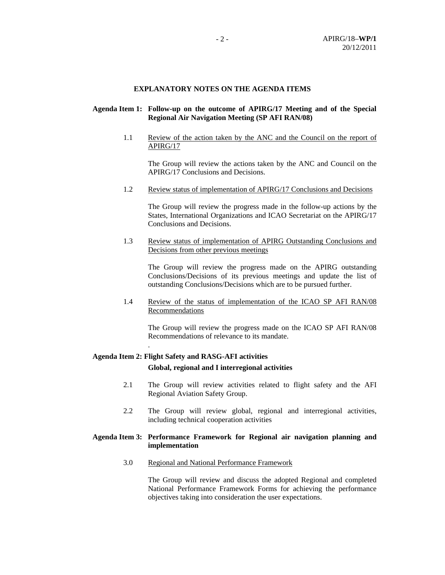#### **EXPLANATORY NOTES ON THE AGENDA ITEMS**

## **Agenda Item 1: Follow-up on the outcome of APIRG/17 Meeting and of the Special Regional Air Navigation Meeting (SP AFI RAN/08)**

1.1 Review of the action taken by the ANC and the Council on the report of APIRG/17

 The Group will review the actions taken by the ANC and Council on the APIRG/17 Conclusions and Decisions.

1.2 Review status of implementation of APIRG/17 Conclusions and Decisions

 The Group will review the progress made in the follow-up actions by the States, International Organizations and ICAO Secretariat on the APIRG/17 Conclusions and Decisions.

1.3 Review status of implementation of APIRG Outstanding Conclusions and Decisions from other previous meetings

 The Group will review the progress made on the APIRG outstanding Conclusions/Decisions of its previous meetings and update the list of outstanding Conclusions/Decisions which are to be pursued further.

1.4 Review of the status of implementation of the ICAO SP AFI RAN/08 Recommendations

 The Group will review the progress made on the ICAO SP AFI RAN/08 Recommendations of relevance to its mandate.

### **Agenda Item 2: Flight Safety and RASG-AFI activities**

.

 **Global, regional and I interregional activities** 

- 2.1 The Group will review activities related to flight safety and the AFI Regional Aviation Safety Group.
- 2.2 The Group will review global, regional and interregional activities, including technical cooperation activities

#### **Agenda Item 3: Performance Framework for Regional air navigation planning and implementation**

3.0 Regional and National Performance Framework

 The Group will review and discuss the adopted Regional and completed National Performance Framework Forms for achieving the performance objectives taking into consideration the user expectations.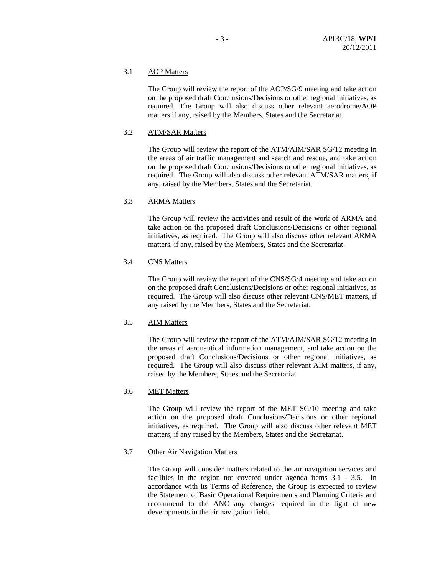## 3.1 AOP Matters

The Group will review the report of the AOP/SG/9 meeting and take action on the proposed draft Conclusions/Decisions or other regional initiatives, as required. The Group will also discuss other relevant aerodrome/AOP matters if any, raised by the Members, States and the Secretariat.

## 3.2 ATM/SAR Matters

The Group will review the report of the ATM/AIM/SAR SG/12 meeting in the areas of air traffic management and search and rescue, and take action on the proposed draft Conclusions/Decisions or other regional initiatives, as required. The Group will also discuss other relevant ATM/SAR matters, if any, raised by the Members, States and the Secretariat.

#### 3.3 ARMA Matters

The Group will review the activities and result of the work of ARMA and take action on the proposed draft Conclusions/Decisions or other regional initiatives, as required. The Group will also discuss other relevant ARMA matters, if any, raised by the Members, States and the Secretariat.

## 3.4 CNS Matters

 The Group will review the report of the CNS/SG/4 meeting and take action on the proposed draft Conclusions/Decisions or other regional initiatives, as required. The Group will also discuss other relevant CNS/MET matters, if any raised by the Members, States and the Secretariat.

#### 3.5 AIM Matters

The Group will review the report of the ATM/AIM/SAR SG/12 meeting in the areas of aeronautical information management, and take action on the proposed draft Conclusions/Decisions or other regional initiatives, as required. The Group will also discuss other relevant AIM matters, if any, raised by the Members, States and the Secretariat.

### 3.6 MET Matters

 The Group will review the report of the MET SG/10 meeting and take action on the proposed draft Conclusions/Decisions or other regional initiatives, as required. The Group will also discuss other relevant MET matters, if any raised by the Members, States and the Secretariat.

## 3.7 Other Air Navigation Matters

 The Group will consider matters related to the air navigation services and facilities in the region not covered under agenda items 3.1 - 3.5. In accordance with its Terms of Reference, the Group is expected to review the Statement of Basic Operational Requirements and Planning Criteria and recommend to the ANC any changes required in the light of new developments in the air navigation field.